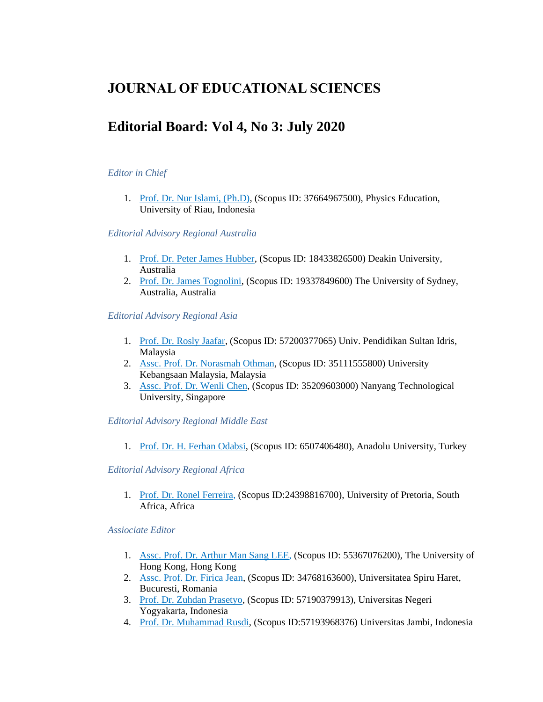## **JOURNAL OF EDUCATIONAL SCIENCES**

# **Editorial Board: Vol 4, No 3: July 2020**

## *Editor in Chief*

1. Prof. Dr. Nur Islami, (Ph.D), (Scopus ID: 37664967500), Physics Education, University of Riau, Indonesia

#### *Editorial Advisory Regional Australia*

- 1. [Prof. Dr. Peter James Hubber,](javascript:openRTWindow() (Scopus ID: 18433826500) Deakin University, Australia
- 2. [Prof. Dr. James Tognolini,](javascript:openRTWindow() (Scopus ID: 19337849600) The University of Sydney, Australia, Australia

*Editorial Advisory Regional Asia*

- 1. [Prof. Dr. Rosly Jaafar,](javascript:openRTWindow() (Scopus ID: 57200377065) Univ. Pendidikan Sultan Idris, Malaysia
- 2. [Assc. Prof. Dr. Norasmah Othman,](javascript:openRTWindow() (Scopus ID: 35111555800) University Kebangsaan Malaysia, Malaysia
- 3. [Assc. Prof. Dr. Wenli Chen,](javascript:openRTWindow() (Scopus ID: 35209603000) Nanyang Technological University, Singapore

*Editorial Advisory Regional Middle East*

1. [Prof. Dr. H. Ferhan Odabsi,](javascript:openRTWindow() (Scopus ID: 6507406480), Anadolu University, Turkey

*Editorial Advisory Regional Africa*

1. [Prof. Dr. Ronel Ferreira,](javascript:openRTWindow() (Scopus ID:24398816700), University of Pretoria, South Africa, Africa

*Assiociate Editor*

- 1. [Assc. Prof. Dr. Arthur Man Sang LEE,](javascript:openRTWindow() (Scopus ID: 55367076200), The University of Hong Kong, Hong Kong
- 2. [Assc. Prof. Dr. Firica Jean,](javascript:openRTWindow() (Scopus ID: 34768163600), Universitatea Spiru Haret, Bucuresti, Romania
- 3. [Prof. Dr. Zuhdan Prasetyo,](javascript:openRTWindow() (Scopus ID: 57190379913), Universitas Negeri Yogyakarta, Indonesia
- 4. [Prof. Dr. Muhammad Rusdi,](javascript:openRTWindow() (Scopus ID:57193968376) Universitas Jambi, Indonesia